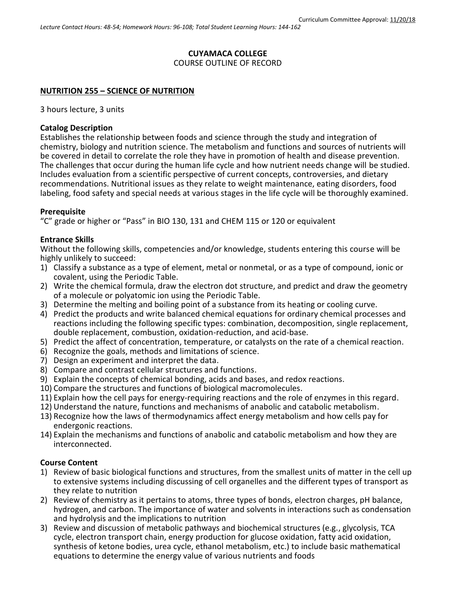#### **CUYAMACA COLLEGE** COURSE OUTLINE OF RECORD

#### **NUTRITION 255 – SCIENCE OF NUTRITION**

3 hours lecture, 3 units

### **Catalog Description**

Establishes the relationship between foods and science through the study and integration of chemistry, biology and nutrition science. The metabolism and functions and sources of nutrients will be covered in detail to correlate the role they have in promotion of health and disease prevention. The challenges that occur during the human life cycle and how nutrient needs change will be studied. Includes evaluation from a scientific perspective of current concepts, controversies, and dietary recommendations. Nutritional issues as they relate to weight maintenance, eating disorders, food labeling, food safety and special needs at various stages in the life cycle will be thoroughly examined.

### **Prerequisite**

"C" grade or higher or "Pass" in BIO 130, 131 and CHEM 115 or 120 or equivalent

### **Entrance Skills**

Without the following skills, competencies and/or knowledge, students entering this course will be highly unlikely to succeed:

- 1) Classify a substance as a type of element, metal or nonmetal, or as a type of compound, ionic or covalent, using the Periodic Table.
- 2) Write the chemical formula, draw the electron dot structure, and predict and draw the geometry of a molecule or polyatomic ion using the Periodic Table.
- 3) Determine the melting and boiling point of a substance from its heating or cooling curve.
- 4) Predict the products and write balanced chemical equations for ordinary chemical processes and reactions including the following specific types: combination, decomposition, single replacement, double replacement, combustion, oxidation-reduction, and acid-base.
- 5) Predict the affect of concentration, temperature, or catalysts on the rate of a chemical reaction.
- 6) Recognize the goals, methods and limitations of science.
- 7) Design an experiment and interpret the data.
- 8) Compare and contrast cellular structures and functions.
- 9) Explain the concepts of chemical bonding, acids and bases, and redox reactions.
- 10) Compare the structures and functions of biological macromolecules.
- 11) Explain how the cell pays for energy-requiring reactions and the role of enzymes in this regard.
- 12) Understand the nature, functions and mechanisms of anabolic and catabolic metabolism.
- 13) Recognize how the laws of thermodynamics affect energy metabolism and how cells pay for endergonic reactions.
- 14) Explain the mechanisms and functions of anabolic and catabolic metabolism and how they are interconnected.

### **Course Content**

- 1) Review of basic biological functions and structures, from the smallest units of matter in the cell up to extensive systems including discussing of cell organelles and the different types of transport as they relate to nutrition
- 2) Review of chemistry as it pertains to atoms, three types of bonds, electron charges, pH balance, hydrogen, and carbon. The importance of water and solvents in interactions such as condensation and hydrolysis and the implications to nutrition
- 3) Review and discussion of metabolic pathways and biochemical structures (e.g., glycolysis, TCA cycle, electron transport chain, energy production for glucose oxidation, fatty acid oxidation, synthesis of ketone bodies, urea cycle, ethanol metabolism, etc.) to include basic mathematical equations to determine the energy value of various nutrients and foods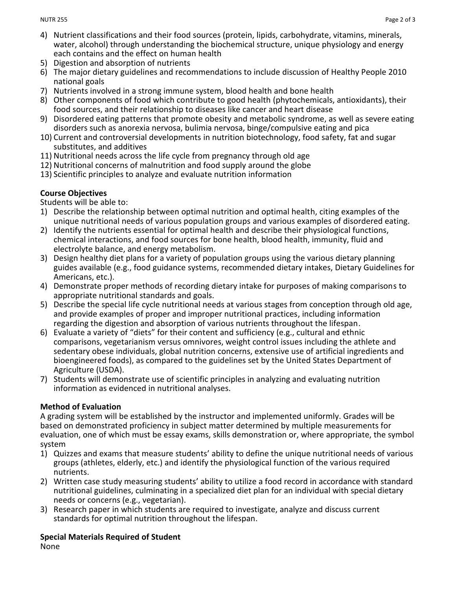- 4) Nutrient classifications and their food sources (protein, lipids, carbohydrate, vitamins, minerals, water, alcohol) through understanding the biochemical structure, unique physiology and energy each contains and the effect on human health
- 5) Digestion and absorption of nutrients
- 6) The major dietary guidelines and recommendations to include discussion of Healthy People 2010 national goals
- 7) Nutrients involved in a strong immune system, blood health and bone health
- 8) Other components of food which contribute to good health (phytochemicals, antioxidants), their food sources, and their relationship to diseases like cancer and heart disease
- 9) Disordered eating patterns that promote obesity and metabolic syndrome, as well as severe eating disorders such as anorexia nervosa, bulimia nervosa, binge/compulsive eating and pica
- 10) Current and controversial developments in nutrition biotechnology, food safety, fat and sugar substitutes, and additives
- 11) Nutritional needs across the life cycle from pregnancy through old age
- 12) Nutritional concerns of malnutrition and food supply around the globe
- 13) Scientific principles to analyze and evaluate nutrition information

## **Course Objectives**

Students will be able to:

- 1) Describe the relationship between optimal nutrition and optimal health, citing examples of the unique nutritional needs of various population groups and various examples of disordered eating.
- 2) Identify the nutrients essential for optimal health and describe their physiological functions, chemical interactions, and food sources for bone health, blood health, immunity, fluid and electrolyte balance, and energy metabolism.
- 3) Design healthy diet plans for a variety of population groups using the various dietary planning guides available (e.g., food guidance systems, recommended dietary intakes, Dietary Guidelines for Americans, etc.).
- 4) Demonstrate proper methods of recording dietary intake for purposes of making comparisons to appropriate nutritional standards and goals.
- 5) Describe the special life cycle nutritional needs at various stages from conception through old age, and provide examples of proper and improper nutritional practices, including information regarding the digestion and absorption of various nutrients throughout the lifespan.
- 6) Evaluate a variety of "diets" for their content and sufficiency (e.g., cultural and ethnic comparisons, vegetarianism versus omnivores, weight control issues including the athlete and sedentary obese individuals, global nutrition concerns, extensive use of artificial ingredients and bioengineered foods), as compared to the guidelines set by the United States Department of Agriculture (USDA).
- 7) Students will demonstrate use of scientific principles in analyzing and evaluating nutrition information as evidenced in nutritional analyses.

## **Method of Evaluation**

A grading system will be established by the instructor and implemented uniformly. Grades will be based on demonstrated proficiency in subject matter determined by multiple measurements for evaluation, one of which must be essay exams, skills demonstration or, where appropriate, the symbol system

- 1) Quizzes and exams that measure students' ability to define the unique nutritional needs of various groups (athletes, elderly, etc.) and identify the physiological function of the various required nutrients.
- 2) Written case study measuring students' ability to utilize a food record in accordance with standard nutritional guidelines, culminating in a specialized diet plan for an individual with special dietary needs or concerns (e.g., vegetarian).
- 3) Research paper in which students are required to investigate, analyze and discuss current standards for optimal nutrition throughout the lifespan.

### **Special Materials Required of Student**

None